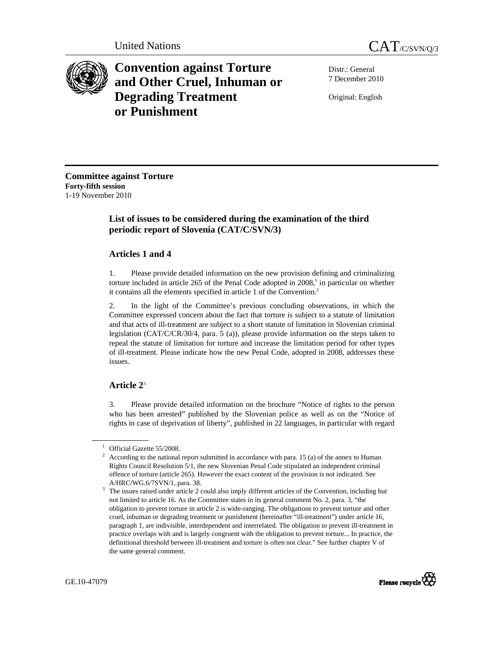

**Convention against Torture and Other Cruel, Inhuman or Degrading Treatment or Punishment**

Distr.: General 7 December 2010

Original: English

**Committee against Torture Forty-fifth session**  1-19 November 2010

# **List of issues to be considered during the examination of the third periodic report of Slovenia (CAT/C/SVN/3)**

## **Articles 1 and 4**

1. Please provide detailed information on the new provision defining and criminalizing torture included in article  $265$  of the Penal Code adopted in  $2008$ ,<sup>1</sup> in particular on whether it contains all the elements specified in article 1 of the Convention.<sup>2</sup>

2. In the light of the Committee's previous concluding observations, in which the Committee expressed concern about the fact that torture is subject to a statute of limitation and that acts of ill-treatment are subject to a short statute of limitation in Slovenian criminal legislation (CAT/C/CR/30/4, para. 5 (a)), please provide information on the steps taken to repeal the statute of limitation for torture and increase the limitation period for other types of ill-treatment. Please indicate how the new Penal Code, adopted in 2008, addresses these issues.

# **Article 2**<sup>3</sup>

3. Please provide detailed information on the brochure "Notice of rights to the person who has been arrested" published by the Slovenian police as well as on the "Notice of rights in case of deprivation of liberty", published in 22 languages, in particular with regard

A/HRC/WG.6/7SVN/1, para. 38.  $3$  The issues raised under article 2 could also imply different articles of the Convention, including but not limited to article 16. As the Committee states in its general comment No. 2, para. 3, "the obligation to prevent torture in article 2 is wide-ranging. The obligations to prevent torture and other cruel, inhuman or degrading treatment or punishment (hereinafter "ill-treatment") under article 16, paragraph 1, are indivisible, interdependent and interrelated. The obligation to prevent ill-treatment in practice overlaps with and is largely congruent with the obligation to prevent torture... In practice, the definitional threshold between ill-treatment and torture is often not clear." See further chapter V of the same general comment.



<sup>1</sup> Official Gazette 55/2008.

<sup>2</sup> According to the national report submitted in accordance with para. 15 (a) of the annex to Human Rights Council Resolution 5/1, the new Slovenian Penal Code stipulated an independent criminal offence of torture (article 265). However the exact content of the provision is not indicated. See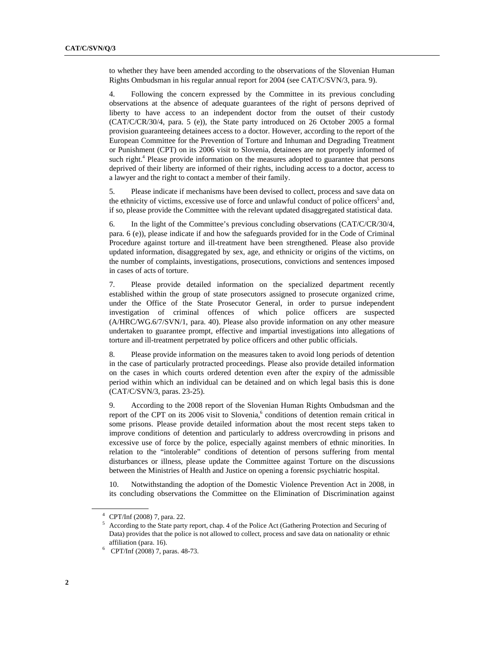to whether they have been amended according to the observations of the Slovenian Human Rights Ombudsman in his regular annual report for 2004 (see CAT/C/SVN/3, para. 9).

4. Following the concern expressed by the Committee in its previous concluding observations at the absence of adequate guarantees of the right of persons deprived of liberty to have access to an independent doctor from the outset of their custody (CAT/C/CR/30/4, para. 5 (e)), the State party introduced on 26 October 2005 a formal provision guaranteeing detainees access to a doctor. However, according to the report of the European Committee for the Prevention of Torture and Inhuman and Degrading Treatment or Punishment (CPT) on its 2006 visit to Slovenia, detainees are not properly informed of such right.<sup>4</sup> Please provide information on the measures adopted to guarantee that persons deprived of their liberty are informed of their rights, including access to a doctor, access to a lawyer and the right to contact a member of their family.

5. Please indicate if mechanisms have been devised to collect, process and save data on the ethnicity of victims, excessive use of force and unlawful conduct of police officers<sup>5</sup> and, if so, please provide the Committee with the relevant updated disaggregated statistical data.

6. In the light of the Committee's previous concluding observations (CAT/C/CR/30/4, para. 6 (e)), please indicate if and how the safeguards provided for in the Code of Criminal Procedure against torture and ill-treatment have been strengthened. Please also provide updated information, disaggregated by sex, age, and ethnicity or origins of the victims, on the number of complaints, investigations, prosecutions, convictions and sentences imposed in cases of acts of torture.

7. Please provide detailed information on the specialized department recently established within the group of state prosecutors assigned to prosecute organized crime, under the Office of the State Prosecutor General, in order to pursue independent investigation of criminal offences of which police officers are suspected (A/HRC/WG.6/7/SVN/1, para. 40). Please also provide information on any other measure undertaken to guarantee prompt, effective and impartial investigations into allegations of torture and ill-treatment perpetrated by police officers and other public officials.

8. Please provide information on the measures taken to avoid long periods of detention in the case of particularly protracted proceedings. Please also provide detailed information on the cases in which courts ordered detention even after the expiry of the admissible period within which an individual can be detained and on which legal basis this is done (CAT/C/SVN/3, paras. 23-25).

9. According to the 2008 report of the Slovenian Human Rights Ombudsman and the report of the CPT on its 2006 visit to Slovenia,<sup>6</sup> conditions of detention remain critical in some prisons. Please provide detailed information about the most recent steps taken to improve conditions of detention and particularly to address overcrowding in prisons and excessive use of force by the police, especially against members of ethnic minorities. In relation to the "intolerable" conditions of detention of persons suffering from mental disturbances or illness, please update the Committee against Torture on the discussions between the Ministries of Health and Justice on opening a forensic psychiatric hospital.

10. Notwithstanding the adoption of the Domestic Violence Prevention Act in 2008, in its concluding observations the Committee on the Elimination of Discrimination against

<sup>4</sup> CPT/Inf (2008) 7, para. 22.

<sup>&</sup>lt;sup>5</sup> According to the State party report, chap. 4 of the Police Act (Gathering Protection and Securing of Data) provides that the police is not allowed to collect, process and save data on nationality or ethnic affiliation (para. 16). 6 CPT/Inf (2008) 7, paras. 48-73.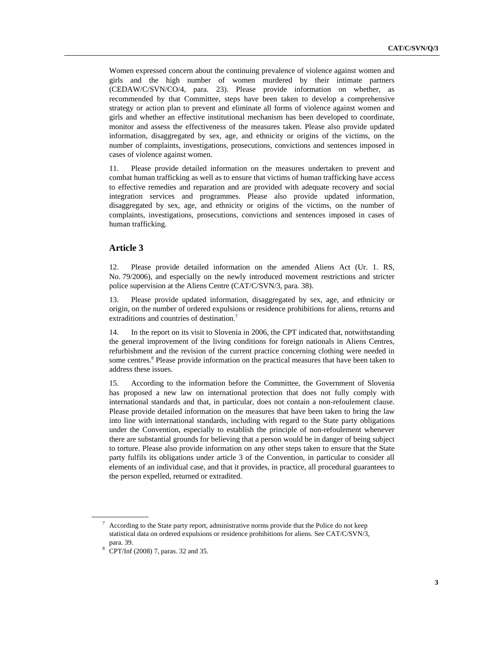Women expressed concern about the continuing prevalence of violence against women and girls and the high number of women murdered by their intimate partners (CEDAW/C/SVN/CO/4, para. 23). Please provide information on whether, as recommended by that Committee, steps have been taken to develop a comprehensive strategy or action plan to prevent and eliminate all forms of violence against women and girls and whether an effective institutional mechanism has been developed to coordinate, monitor and assess the effectiveness of the measures taken. Please also provide updated information, disaggregated by sex, age, and ethnicity or origins of the victims, on the number of complaints, investigations, prosecutions, convictions and sentences imposed in cases of violence against women.

11. Please provide detailed information on the measures undertaken to prevent and combat human trafficking as well as to ensure that victims of human trafficking have access to effective remedies and reparation and are provided with adequate recovery and social integration services and programmes. Please also provide updated information, disaggregated by sex, age, and ethnicity or origins of the victims, on the number of complaints, investigations, prosecutions, convictions and sentences imposed in cases of human trafficking.

### **Article 3**

12. Please provide detailed information on the amended Aliens Act (Ur. 1. RS, No. 79/2006), and especially on the newly introduced movement restrictions and stricter police supervision at the Aliens Centre (CAT/C/SVN/3, para. 38).

13. Please provide updated information, disaggregated by sex, age, and ethnicity or origin, on the number of ordered expulsions or residence prohibitions for aliens, returns and extraditions and countries of destination.<sup>7</sup>

14. In the report on its visit to Slovenia in 2006, the CPT indicated that, notwithstanding the general improvement of the living conditions for foreign nationals in Aliens Centres, refurbishment and the revision of the current practice concerning clothing were needed in some centres.<sup>8</sup> Please provide information on the practical measures that have been taken to address these issues.

15. According to the information before the Committee, the Government of Slovenia has proposed a new law on international protection that does not fully comply with international standards and that, in particular, does not contain a non-refoulement clause. Please provide detailed information on the measures that have been taken to bring the law into line with international standards, including with regard to the State party obligations under the Convention, especially to establish the principle of non-refoulement whenever there are substantial grounds for believing that a person would be in danger of being subject to torture. Please also provide information on any other steps taken to ensure that the State party fulfils its obligations under article 3 of the Convention, in particular to consider all elements of an individual case, and that it provides, in practice, all procedural guarantees to the person expelled, returned or extradited.

 $7$  According to the State party report, administrative norms provide that the Police do not keep statistical data on ordered expulsions or residence prohibitions for aliens. See CAT/C/SVN/3, para. 39. 8 CPT/Inf (2008) 7, paras. 32 and 35.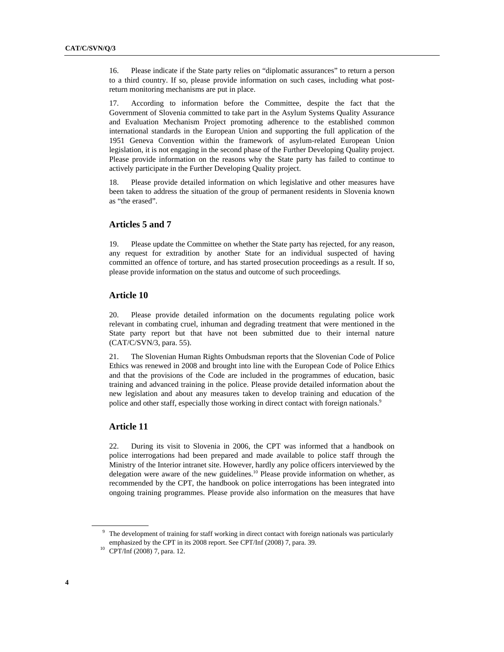16. Please indicate if the State party relies on "diplomatic assurances" to return a person to a third country. If so, please provide information on such cases, including what postreturn monitoring mechanisms are put in place.

17. According to information before the Committee, despite the fact that the Government of Slovenia committed to take part in the Asylum Systems Quality Assurance and Evaluation Mechanism Project promoting adherence to the established common international standards in the European Union and supporting the full application of the 1951 Geneva Convention within the framework of asylum-related European Union legislation, it is not engaging in the second phase of the Further Developing Quality project. Please provide information on the reasons why the State party has failed to continue to actively participate in the Further Developing Quality project.

18. Please provide detailed information on which legislative and other measures have been taken to address the situation of the group of permanent residents in Slovenia known as "the erased".

### **Articles 5 and 7**

19. Please update the Committee on whether the State party has rejected, for any reason, any request for extradition by another State for an individual suspected of having committed an offence of torture, and has started prosecution proceedings as a result. If so, please provide information on the status and outcome of such proceedings.

#### **Article 10**

20. Please provide detailed information on the documents regulating police work relevant in combating cruel, inhuman and degrading treatment that were mentioned in the State party report but that have not been submitted due to their internal nature (CAT/C/SVN/3, para. 55).

21. The Slovenian Human Rights Ombudsman reports that the Slovenian Code of Police Ethics was renewed in 2008 and brought into line with the European Code of Police Ethics and that the provisions of the Code are included in the programmes of education, basic training and advanced training in the police. Please provide detailed information about the new legislation and about any measures taken to develop training and education of the police and other staff, especially those working in direct contact with foreign nationals.<sup>9</sup>

### **Article 11**

22. During its visit to Slovenia in 2006, the CPT was informed that a handbook on police interrogations had been prepared and made available to police staff through the Ministry of the Interior intranet site. However, hardly any police officers interviewed by the delegation were aware of the new guidelines.<sup>10</sup> Please provide information on whether, as recommended by the CPT, the handbook on police interrogations has been integrated into ongoing training programmes. Please provide also information on the measures that have

<sup>9</sup> The development of training for staff working in direct contact with foreign nationals was particularly emphasized by the CPT in its 2008 report. See CPT/Inf (2008) 7, para. 39. CPT/Inf (2008) 7, para. 12.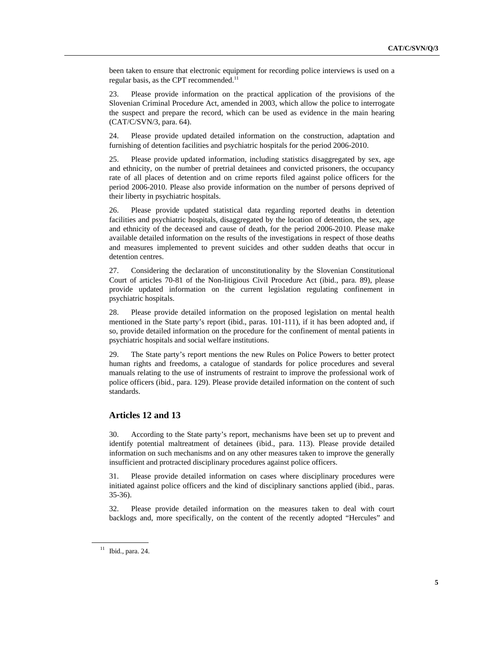been taken to ensure that electronic equipment for recording police interviews is used on a regular basis, as the CPT recommended.<sup>11</sup>

23. Please provide information on the practical application of the provisions of the Slovenian Criminal Procedure Act, amended in 2003, which allow the police to interrogate the suspect and prepare the record, which can be used as evidence in the main hearing (CAT/C/SVN/3, para. 64).

24. Please provide updated detailed information on the construction, adaptation and furnishing of detention facilities and psychiatric hospitals for the period 2006-2010.

25. Please provide updated information, including statistics disaggregated by sex, age and ethnicity, on the number of pretrial detainees and convicted prisoners, the occupancy rate of all places of detention and on crime reports filed against police officers for the period 2006-2010. Please also provide information on the number of persons deprived of their liberty in psychiatric hospitals.

26. Please provide updated statistical data regarding reported deaths in detention facilities and psychiatric hospitals, disaggregated by the location of detention, the sex, age and ethnicity of the deceased and cause of death, for the period 2006-2010. Please make available detailed information on the results of the investigations in respect of those deaths and measures implemented to prevent suicides and other sudden deaths that occur in detention centres.

27. Considering the declaration of unconstitutionality by the Slovenian Constitutional Court of articles 70-81 of the Non-litigious Civil Procedure Act (ibid., para. 89), please provide updated information on the current legislation regulating confinement in psychiatric hospitals.

28. Please provide detailed information on the proposed legislation on mental health mentioned in the State party's report (ibid., paras. 101-111), if it has been adopted and, if so, provide detailed information on the procedure for the confinement of mental patients in psychiatric hospitals and social welfare institutions.

29. The State party's report mentions the new Rules on Police Powers to better protect human rights and freedoms, a catalogue of standards for police procedures and several manuals relating to the use of instruments of restraint to improve the professional work of police officers (ibid., para. 129). Please provide detailed information on the content of such standards.

### **Articles 12 and 13**

30. According to the State party's report, mechanisms have been set up to prevent and identify potential maltreatment of detainees (ibid., para. 113). Please provide detailed information on such mechanisms and on any other measures taken to improve the generally insufficient and protracted disciplinary procedures against police officers.

31. Please provide detailed information on cases where disciplinary procedures were initiated against police officers and the kind of disciplinary sanctions applied (ibid., paras. 35-36).

32. Please provide detailed information on the measures taken to deal with court backlogs and, more specifically, on the content of the recently adopted "Hercules" and

<sup>11</sup> Ibid., para. 24.